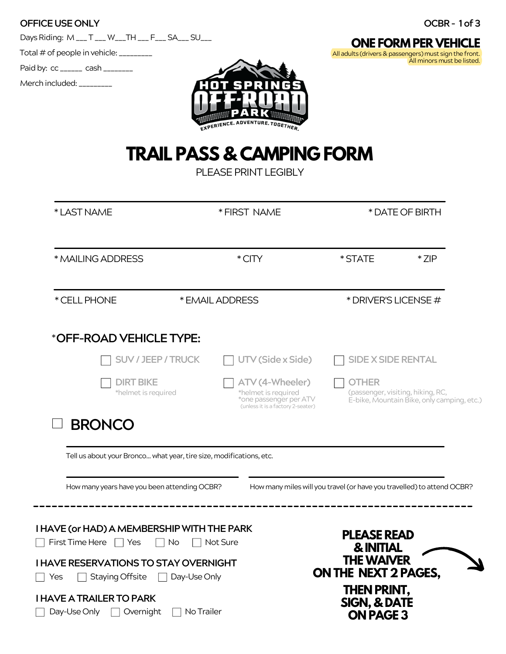| <b>OFFICE USE ONLY</b> | OCBR-1 of 3 |
|------------------------|-------------|
|                        |             |

DaysRiding: M\_\_\_ T \_\_\_W\_\_\_TH \_\_\_F\_\_\_SA\_\_\_SU\_\_\_

Total  $#$  of people in vehicle:  $\frac{1}{2}$ 

Paid by: cc \_\_\_\_\_\_ cash \_\_\_\_\_\_\_\_

Merch included: \_\_\_\_\_\_\_\_



**ONE FORM PER VEHICLE** All adults (drivers & passengers) must sign the front. All minors must be listed.

# **TRAIL PASS & CAMPING FORM**

PLEASE PRINT LEGIBLY

| *CITY<br>* STATE<br>* ZIP<br>* EMAIL ADDRESS<br>* DRIVER'S LICENSE #<br><b>SUV / JEEP / TRUCK</b><br>UTV (Side x Side)<br><b>SIDE X SIDE RENTAL</b><br><b>DIRT BIKE</b><br>ATV (4-Wheeler)<br>OTHER<br>*helmet is required<br>*helmet is required<br>*one passenger per ATV<br>(unless it is a factory 2-seater)<br><b>BRONCO</b><br>Tell us about your Bronco what year, tire size, modifications, etc.<br>How many years have you been attending OCBR?<br>How many miles will you travel (or have you travelled) to attend OCBR? | * LAST NAME                                                         |            | * FIRST NAME | * DATE OF BIRTH                                                                 |  |
|------------------------------------------------------------------------------------------------------------------------------------------------------------------------------------------------------------------------------------------------------------------------------------------------------------------------------------------------------------------------------------------------------------------------------------------------------------------------------------------------------------------------------------|---------------------------------------------------------------------|------------|--------------|---------------------------------------------------------------------------------|--|
| * CELL PHONE<br>*OFF-ROAD VEHICLE TYPE:                                                                                                                                                                                                                                                                                                                                                                                                                                                                                            | * MAILING ADDRESS                                                   |            |              |                                                                                 |  |
|                                                                                                                                                                                                                                                                                                                                                                                                                                                                                                                                    |                                                                     |            |              |                                                                                 |  |
|                                                                                                                                                                                                                                                                                                                                                                                                                                                                                                                                    |                                                                     |            |              |                                                                                 |  |
|                                                                                                                                                                                                                                                                                                                                                                                                                                                                                                                                    |                                                                     |            |              |                                                                                 |  |
|                                                                                                                                                                                                                                                                                                                                                                                                                                                                                                                                    |                                                                     |            |              | (passenger, visiting, hiking, RC,<br>E-bike, Mountain Bike, only camping, etc.) |  |
|                                                                                                                                                                                                                                                                                                                                                                                                                                                                                                                                    |                                                                     |            |              |                                                                                 |  |
|                                                                                                                                                                                                                                                                                                                                                                                                                                                                                                                                    |                                                                     |            |              |                                                                                 |  |
|                                                                                                                                                                                                                                                                                                                                                                                                                                                                                                                                    | Staying Offsite<br>Yes                                              |            |              |                                                                                 |  |
| <b>THE WAIVER</b><br><b>I HAVE RESERVATIONS TO STAY OVERNIGHT</b><br>ON THE NEXT 2 PAGES,<br>Day-Use Only<br>THEN PRINT,                                                                                                                                                                                                                                                                                                                                                                                                           | <b>I HAVE A TRAILER TO PARK</b><br>Day-Use Only<br>$\Box$ Overnight | No Trailer |              | SIGN, & DATE<br><b>ON PAGE 3</b>                                                |  |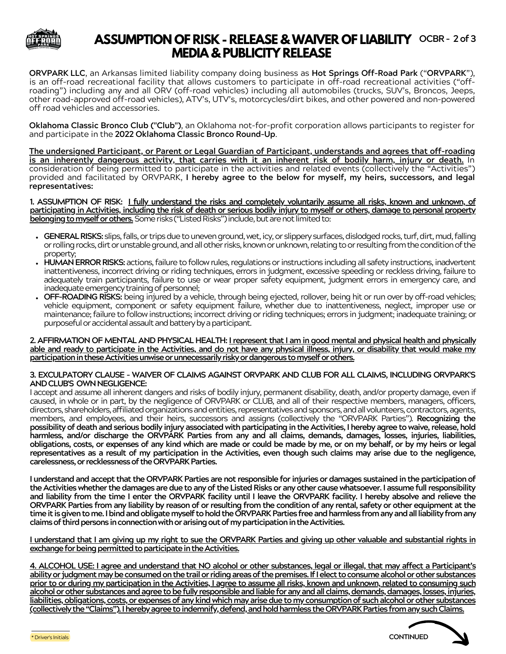

# **ASSUMPTION OF RISK - RELEASE &WAIVER OF LIABILITY OCBR- 2of 3 MEDIA & PUBLICITY RELEASE**

**ORVPARK LLC**, an Arkansas limited liability company doing business as **Hot Springs Off-Road Park** ("**ORVPARK**"), is an off-road recreational facility that allows customers to participate in off-road recreational activities ("offroading") including any and all ORV (off-road vehicles) including all automobiles (trucks, SUV's, Broncos, Jeeps, other road-approved off-road vehicles), ATV's, UTV's, motorcycles/dirt bikes, and other powered and non-powered off road vehicles and accessories.

**Oklahoma Classic Bronco Club ("Club")**, an Oklahoma not-for-profit corporation allows participants to register for and participate in the **2022 Oklahoma Classic Bronco Round-Up**.

**The undersigned Participant, or Parent or Legal Guardian of Participant, understands and agrees that off-roading** is an inherently dangerous activity, that carries with it an inherent risk of bodily harm, injury or death. In consideration of being permitted to participate in the activities and related events (collectively the "Activities") provided and facilitated by ORVPARK, **I hereby agree to the below for myself, my heirs, successors, and legal representatives:**

1. ASSUMPTION OF RISK: I fully understand the risks and completely voluntarily assume all risks, known and unknown, of participating in Activities, including the risk of death or serious bodily injury to myself or others, damage to personal property **belonging to myself or others.** Some risks ("Listed Risks") include, but are not limited to:

- GENERAL RISKS: slips, falls, or trips due to uneven ground, wet, icy, or slippery surfaces, dislodged rocks, turf, dirt, mud, falling or rolling rocks, dirt or unstable ground, and all other risks, known or unknown, relating to or resulting from the condition of the property;
- **HUMAN ERROR RISKS:** actions, failure to follow rules, regulations or instructions including all safety instructions, inadvertent inattentiveness, incorrect driving or riding techniques, errors in judgment, excessive speeding or reckless driving, failure to adequately train participants, failure to use or wear proper safety equipment, judgment errors in emergency care, and inadequate emergency training of personnel;
- **OFF-ROADING RISKS:** being injured by a vehicle, through being ejected, rollover, being hit or run over by off-road vehicles; vehicle equipment, component or safety equipment failure, whether due to inattentiveness, neglect, improper use or maintenance; failure to follow instructions; incorrect driving or riding techniques; errors in judgment; inadequate training; or purposeful or accidental assault and battery by a participant.

#### 2. AFFIRMATION OF MENTAL AND PHYSICAL HEALTH: *Lrepresent that I am in good mental and physical health and physically* able and ready to participate in the Activities, and do not have any physical illness, injury, or disability that would make my participation in these Activities unwise or unnecessarily risky or dangerous to myself or others.

#### **3. EXCULPATORY CLAUSE – WAIVER OF CLAIMS AGAINST ORVPARK AND CLUB FOR ALL CLAIMS, INCLUDING ORVPARK'S AND CLUB'S OWN NEGLIGENCE:**

I accept and assume all inherent dangers and risks of bodily injury, permanent disability, death, and/or property damage, even if caused, in whole or in part, by the negligence of ORVPARK or CLUB, and all of their respective members, managers, officers, directors, shareholders, affiliated organizations and entities, representatives and sponsors, and all volunteers, contractors, agents, members, and employees, and their heirs, successors and assigns (collectively the "ORVPARK Parties"). **Recognizing the possibilityofdeath andseriousbodily injury associated withparticipatinginthe Activities, I hereby agree to waive, release, hold** harmless, and/or discharge the ORVPĂRK Parties from any and all claims, demands, damages, losses, injuries, liabilities, obligations, costs, or expenses of any kind which are made or could be made by me, or on my behalf, or by my heirs or legal representatives as a result of my participation in the Activities, even though such claims may arise due to the negligence, **carelessness,orrecklessnessoftheORVPARKParties.**

**I understandandaccept that the ORVPARKParties are not responsible for injuries ordamages sustainedin theparticipation of theActivitieswhether thedamages areduetoanyof theListedRisksor anyother causewhatsoever.I assumefull responsibility** and liability from the time I enter the ORVPARK facility until I leave the ORVPARK facility. I hereby absolve and relieve the ORVPARK Parties from any liability by reason of or resulting from the condition of any rental, safety or other equipment at the **timeit isgiventome.Ibindandobligatemyself toholdtheORVPARKPartiesfreeandharmlessfromanyandallliabilityfromany claimsofthirdpersonsinconnectionwithorarisingoutofmyparticipationintheActivities.**

I understand that I am giving up my right to sue the ORVPARK Parties and giving up other valuable and substantial rights in exchange for being permitted to participate in the Activities.

4. ALCOHOL USE: I agree and understand that NO alcohol or other substances, legal or illegal, that may affect a Participant's **abilityor judgmentmaybeconsumedonthetrailor ridingareasofthepremises.If Ielecttoconsumealcoholorothersubstances** prior to or during my participation in the Activities, I agree to assume all risks, known and unknown, related to consuming such **alcoholorothersubstancesandagreetobefullyresponsibleandliableforanyandallclaims,demands,damages,losses,injuries, liabilities,obligations,costs,orexpensesofanykindwhichmayariseduetomyconsumptionof suchalcoholorother substances** (collectively the "Claims"). I hereby agree to indemnify, defend, and hold harmless the ORVPARK Parties from any such Claims.